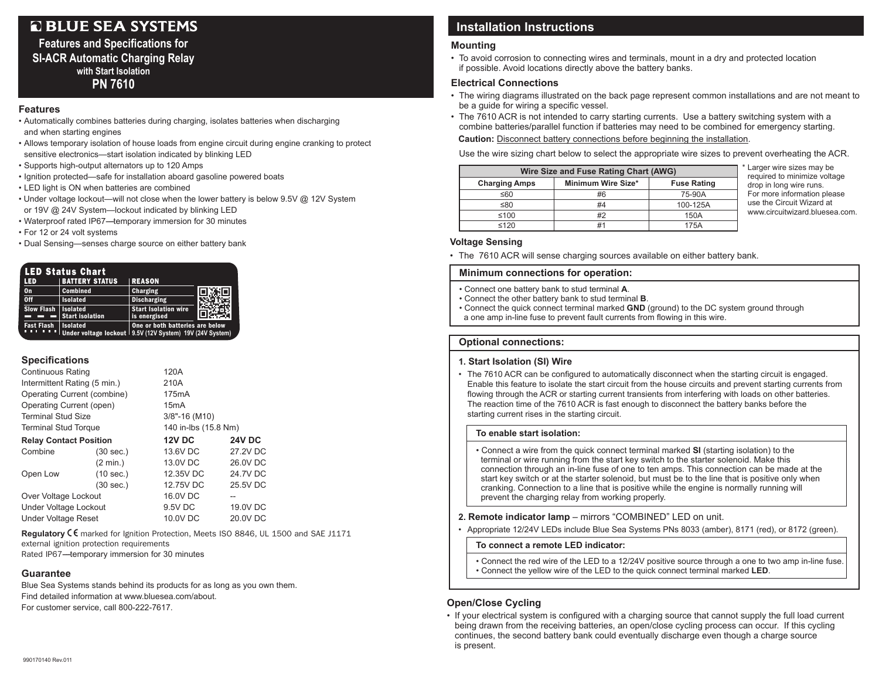# **Q BLUE SEA SYSTEMS**

### **Features and Specifications for SI-ACR Automatic Charging Relay with Start Isolation PN 7610**

#### **Features**

- Automatically combines batteries during charging, isolates batteries when discharging and when starting engines
- Allows temporary isolation of house loads from engine circuit during engine cranking to protect sensitive electronics—start isolation indicated by blinking LED
- Supports high-output alternators up to 120 Amps
- Ignition protected—safe for installation aboard gasoline powered boats
- LED light is ON when batteries are combined
- Under voltage lockout—will not close when the lower battery is below 9.5V @ 12V System or 19V @ 24V System—lockout indicated by blinking LED
- Waterproof rated IP67---temporary immersion for 30 minutes
- For 12 or 24 volt systems
- Dual Sensing—senses charge source on either battery bank

| LED Status Chart             |                                                                               |                                             |  |  |  |
|------------------------------|-------------------------------------------------------------------------------|---------------------------------------------|--|--|--|
| <b>LED</b>                   | <b>BATTERY STATUS</b>                                                         | <b>REASON</b>                               |  |  |  |
| On                           | <b>Combined</b>                                                               | <b>Charging</b>                             |  |  |  |
| $o$ ff                       | <b>Isolated</b>                                                               | <b>Discharging</b>                          |  |  |  |
| <b>Slow Flash   Isolated</b> | <b>Start isolation</b>                                                        | <b>Start Isolation wire</b><br>is energised |  |  |  |
| <b>Fast Flash</b>            | <b>Isolated</b><br>Under voltage lockout   9.5V (12V System) 19V (24V System) | One or both batteries are below             |  |  |  |

#### **Specifications**

| <b>Continuous Rating</b>      |                     | 120A                 |               |  |
|-------------------------------|---------------------|----------------------|---------------|--|
| Intermittent Rating (5 min.)  |                     | 210A                 |               |  |
| Operating Current (combine)   |                     | 175 <sub>m</sub> A   |               |  |
| Operating Current (open)      |                     | 15mA                 |               |  |
| <b>Terminal Stud Size</b>     |                     | $3/8$ "-16 (M10)     |               |  |
| <b>Terminal Stud Torque</b>   |                     | 140 in-lbs (15.8 Nm) |               |  |
| <b>Relay Contact Position</b> |                     | <b>12V DC</b>        | <b>24V DC</b> |  |
| Combine                       | $(30 \text{ sec.})$ | 13.6V DC             | 27.2V DC      |  |
|                               | $(2 \text{ min.})$  | 13.0V DC             | 26.0V DC      |  |
| Open Low                      | (10 sec.)           | 12.35V DC            | 24.7V DC      |  |
|                               | (30 sec.)           | 12.75V DC            | 25.5V DC      |  |
| Over Voltage Lockout          |                     | 16.0V DC             | --            |  |
| <b>Under Voltage Lockout</b>  |                     | 9.5V DC              | 19.0V DC      |  |
| <b>Under Voltage Reset</b>    |                     | 10.0V DC             | 20.0V DC      |  |

**Regulatory** E marked for Ignition Protection, Meets ISO 8846, UL 1500 and SAE J1171 external ignition protection requirements Rated IP67-temporary immersion for 30 minutes

#### **Guarantee**

Blue Sea Systems stands behind its products for as long as you own them. Find detailed information at www.bluesea.com/about. For customer service, call 800-222-7617.

## **Installation Instructions**

#### **Mounting**

• To avoid corrosion to connecting wires and terminals, mount in a dry and protected location if possible. Avoid locations directly above the battery banks.

#### **Electrical Connections**

- The wiring diagrams illustrated on the back page represent common installations and are not meant to be a guide for wiring a specific vessel.
- The 7610 ACR is not intended to carry starting currents. Use a battery switching system with a combine batteries/parallel function if batteries may need to be combined for emergency starting.

**Caution:** Disconnect battery connections before beginning the installation.

Use the wire sizing chart below to select the appropriate wire sizes to prevent overheating the ACR.

| Wire Size and Fuse Rating Chart (AWG) |                    |                    |  |  |  |  |
|---------------------------------------|--------------------|--------------------|--|--|--|--|
| <b>Charging Amps</b>                  | Minimum Wire Size* | <b>Fuse Rating</b> |  |  |  |  |
| ≤60                                   | #6                 | 75-90A             |  |  |  |  |
| ≤80                                   | #4                 | 100-125A           |  |  |  |  |
| ≤100                                  | #2                 | 150A               |  |  |  |  |
| $\leq 120$                            | #1                 | 175A               |  |  |  |  |

\* Larger wire sizes may be required to minimize voltage drop in long wire runs. For more information please use the Circuit Wizard at www.circuitwizard.bluesea.com.

#### **Voltage Sensing**

• The 7610 ACR will sense charging sources available on either battery bank.

#### **Minimum connections for operation:**

- Connect one battery bank to stud terminal **A**.
- Connect the other battery bank to stud terminal **B**.
- Connect the quick connect terminal marked **GND** (ground) to the DC system ground through a one amp in-line fuse to prevent fault currents from flowing in this wire.

#### **Optional connections:**

#### **1. Start Isolation (SI) Wire**

• The 7610 ACR can be configured to automatically disconnect when the starting circuit is engaged. Enable this feature to isolate the start circuit from the house circuits and prevent starting currents from flowing through the ACR or starting current transients from interfering with loads on other batteries. The reaction time of the 7610 ACR is fast enough to disconnect the battery banks before the starting current rises in the starting circuit.

#### **To enable start isolation:**

• Connect a wire from the quick connect terminal marked **SI** (starting isolation) to the terminal or wire running from the start key switch to the starter solenoid. Make this connection through an in-line fuse of one to ten amps. This connection can be made at the start key switch or at the starter solenoid, but must be to the line that is positive only when cranking. Connection to a line that is positive while the engine is normally running will prevent the charging relay from working properly.

#### **2. Remote indicator lamp** – mirrors "COMBINED" LED on unit.

• Appropriate 12/24V LEDs include Blue Sea Systems PNs 8033 (amber), 8171 (red), or 8172 (green).

#### **To connect a remote LED indicator:**

• Connect the red wire of the LED to a 12/24V positive source through a one to two amp in-line fuse. • Connect the yellow wire of the LED to the quick connect terminal marked **LED**.

#### **Open/Close Cycling**

• If your electrical system is configured with a charging source that cannot supply the full load current being drawn from the receiving batteries, an open/close cycling process can occur. If this cycling continues, the second battery bank could eventually discharge even though a charge source is present.